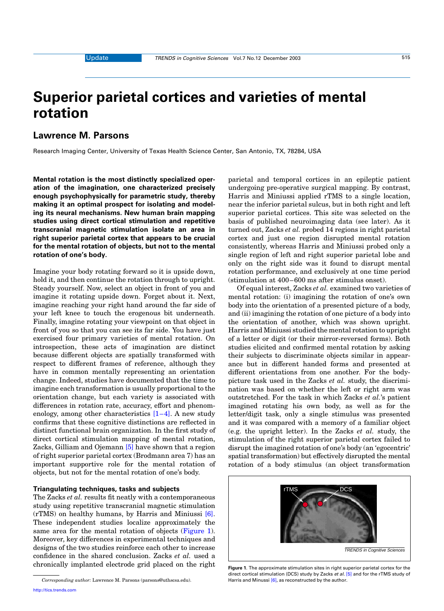# Superior parietal cortices and varieties of mental rotation

## Lawrence M. Parsons

Research Imaging Center, University of Texas Health Science Center, San Antonio, TX, 78284, USA

Mental rotation is the most distinctly specialized operation of the imagination, one characterized precisely enough psychophysically for parametric study, thereby making it an optimal prospect for isolating and modeling its neural mechanisms. New human brain mapping studies using direct cortical stimulation and repetitive transcranial magnetic stimulation isolate an area in right superior parietal cortex that appears to be crucial for the mental rotation of objects, but not to the mental rotation of one's body.

Imagine your body rotating forward so it is upside down, hold it, and then continue the rotation through to upright. Steady yourself. Now, select an object in front of you and imagine it rotating upside down. Forget about it. Next, imagine reaching your right hand around the far side of your left knee to touch the erogenous bit underneath. Finally, imagine rotating your viewpoint on that object in front of you so that you can see its far side. You have just exercised four primary varieties of mental rotation. On introspection, these acts of imagination are distinct because different objects are spatially transformed with respect to different frames of reference, although they have in common mentally representing an orientation change. Indeed, studies have documented that the time to imagine each transformation is usually proportional to the orientation change, but each variety is associated with differences in rotation rate, accuracy, effort and phenomenology, among other characteristics [\[1–4\].](#page-1-0) A new study confirms that these cognitive distinctions are reflected in distinct functional brain organization. In the first study of direct cortical stimulation mapping of mental rotation, Zacks, Gilliam and Ojemann [\[5\]](#page-1-0) have shown that a region of right superior parietal cortex (Brodmann area 7) has an important supportive role for the mental rotation of objects, but not for the mental rotation of one's body.

### Triangulating techniques, tasks and subjects

The Zacks et al. results fit neatly with a contemporaneous study using repetitive transcranial magnetic stimulation (rTMS) on healthy humans, by Harris and Miniussi [\[6\]](#page-2-0). These independent studies localize approximately the same area for the mental rotation of objects (Figure 1). Moreover, key differences in experimental techniques and designs of the two studies reinforce each other to increase confidence in the shared conclusion. Zacks et al. used a chronically implanted electrode grid placed on the right

[http://tics.trends.com](http://www.trends.com)

parietal and temporal cortices in an epileptic patient undergoing pre-operative surgical mapping. By contrast, Harris and Miniussi applied rTMS to a single location, near the inferior parietal sulcus, but in both right and left superior parietal cortices. This site was selected on the basis of published neuroimaging data (see later). As it turned out, Zacks et al. probed 14 regions in right parietal cortex and just one region disrupted mental rotation consistently, whereas Harris and Miniussi probed only a single region of left and right superior parietal lobe and only on the right side was it found to disrupt mental rotation performance, and exclusively at one time period (stimulation at 400–600 ms after stimulus onset).

Of equal interest, Zacks et al. examined two varieties of mental rotation: (i) imagining the rotation of one's own body into the orientation of a presented picture of a body, and (ii) imagining the rotation of one picture of a body into the orientation of another, which was shown upright. Harris and Miniussi studied the mental rotation to upright of a letter or digit (or their mirror-reversed forms). Both studies elicited and confirmed mental rotation by asking their subjects to discriminate objects similar in appearance but in different handed forms and presented at different orientations from one another. For the bodypicture task used in the Zacks et al. study, the discrimination was based on whether the left or right arm was outstretched. For the task in which Zacks et al.'s patient imagined rotating his own body, as well as for the letter/digit task, only a single stimulus was presented and it was compared with a memory of a familiar object (e.g. the upright letter). In the Zacks et al. study, the stimulation of the right superior parietal cortex failed to disrupt the imagined rotation of one's body (an 'egocentric' spatial transformation) but effectively disrupted the mental rotation of a body stimulus (an object transformation



Figure 1. The approximate stimulation sites in right superior parietal cortex for the direct cortical stimulation (DCS) study by Zacks et al. [\[5\]](#page-1-0) and for the rTMS study of Harris and Minussi [\[6\]](#page-2-0), as reconstructed by the author.

Corresponding author: Lawrence M. Parsons (parsons@uthscsa.edu).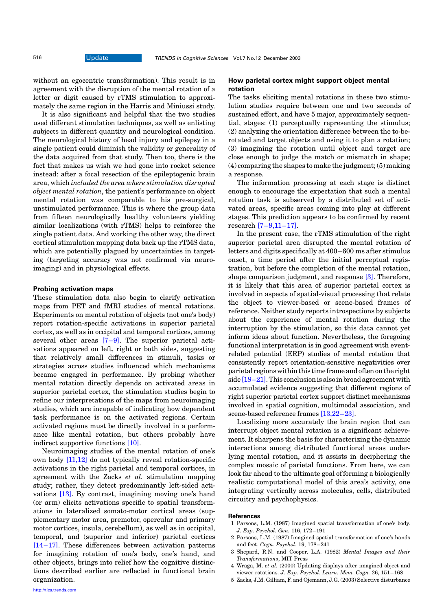<span id="page-1-0"></span>without an egocentric transformation). This result is in agreement with the disruption of the mental rotation of a letter or digit caused by rTMS stimulation to approximately the same region in the Harris and Miniussi study.

It is also significant and helpful that the two studies used different stimulation techniques, as well as enlisting subjects in different quantity and neurological condition. The neurological history of head injury and epilepsy in a single patient could diminish the validity or generality of the data acquired from that study. Then too, there is the fact that makes us wish we had gone into rocket science instead: after a focal resection of the epileptogenic brain area, which included the area where stimulation disrupted object mental rotation, the patient's performance on object mental rotation was comparable to his pre-surgical, unstimulated performance. This is where the group data from fifteen neurologically healthy volunteers yielding similar localizations (with rTMS) helps to reinforce the single patient data. And working the other way, the direct cortical stimulation mapping data back up the rTMS data, which are potentially plagued by uncertainties in targeting (targeting accuracy was not confirmed via neuroimaging) and in physiological effects.

#### Probing activation maps

These stimulation data also begin to clarify activation maps from PET and fMRI studies of mental rotations. Experiments on mental rotation of objects (not one's body) report rotation-specific activations in superior parietal cortex, as well as in occipital and temporal cortices, among several other areas [\[7–9\].](#page-2-0) The superior parietal activations appeared on left, right or both sides, suggesting that relatively small differences in stimuli, tasks or strategies across studies influenced which mechanisms became engaged in performance. By probing whether mental rotation directly depends on activated areas in superior parietal cortex, the stimulation studies begin to refine our interpretations of the maps from neuroimaging studies, which are incapable of indicating how dependent task performance is on the activated regions. Certain activated regions must be directly involved in a performance like mental rotation, but others probably have indirect supportive functions [\[10\]](#page-2-0).

Neuroimaging studies of the mental rotation of one's own body [\[11,12\]](#page-2-0) do not typically reveal rotation-specific activations in the right parietal and temporal cortices, in agreement with the Zacks et al. stimulation mapping study; rather, they detect predominantly left-sided activations [\[13\].](#page-2-0) By contrast, imagining moving one's hand (or arm) elicits activations specific to spatial transformations in lateralized somato-motor cortical areas (supplementary motor area, premotor, opercular and primary motor cortices, insula, cerebellum), as well as in occipital, temporal, and (superior and inferior) parietal cortices [\[14–17\]](#page-2-0). These differences between activation patterns for imagining rotation of one's body, one's hand, and other objects, brings into relief how the cognitive distinctions described earlier are reflected in functional brain organization.

#### [http://tics.trends.com](http://www.trends.com)

### How parietal cortex might support object mental rotation

The tasks eliciting mental rotations in these two stimulation studies require between one and two seconds of sustained effort, and have 5 major, approximately sequential, stages: (1) perceptually representing the stimulus; (2) analyzing the orientation difference between the to-berotated and target objects and using it to plan a rotation; (3) imagining the rotation until object and target are close enough to judge the match or mismatch in shape; (4) comparing the shapes to make the judgment; (5) making a response.

The information processing at each stage is distinct enough to encourage the expectation that such a mental rotation task is subserved by a distributed set of activated areas, specific areas coming into play at different stages. This prediction appears to be confirmed by recent research [\[7–9,11–17\]](#page-2-0).

In the present case, the rTMS stimulation of the right superior parietal area disrupted the mental rotation of letters and digits specifically at 400–600 ms after stimulus onset, a time period after the initial perceptual registration, but before the completion of the mental rotation, shape comparison judgment, and response [3]. Therefore, it is likely that this area of superior parietal cortex is involved in aspects of spatial-visual processing that relate the object to viewer-based or scene-based frames of reference. Neither study reports introspections by subjects about the experience of mental rotation during the interruption by the stimulation, so this data cannot yet inform ideas about function. Nevertheless, the foregoing functional interpretation is in good agreement with eventrelated potential (ERP) studies of mental rotation that consistently report orientation-sensitive negativities over parietal regions within this time frame and often on the right side  $[18-21]$ . This conclusion is also in broad agreement with accumulated evidence suggesting that different regions of right superior parietal cortex support distinct mechanisms involved in spatial cognition, multimodal association, and scene-based reference frames [\[13,22–23\].](#page-2-0)

Localizing more accurately the brain region that can interrupt object mental rotation is a significant achievement. It sharpens the basis for characterizing the dynamic interactions among distributed functional areas underlying mental rotation, and it assists in deciphering the complex mosaic of parietal functions. From here, we can look far ahead to the ultimate goal of forming a biologically realistic computational model of this area's activity, one integrating vertically across molecules, cells, distributed circuitry and psychophysics.

#### References

- 1 Parsons, L.M. (1987) Imagined spatial transformation of one's body. J. Exp. Psychol. Gen. 116, 172–191
- 2 Parsons, L.M. (1987) Imagined spatial transformation of one's hands and feet. Cogn. Psychol. 19, 178–241
- 3 Shepard, R.N. and Cooper, L.A. (1982) Mental Images and their Transformations, MIT Press
- 4 Wraga, M. et al. (2000) Updating displays after imagined object and viewer rotations. J. Exp. Psychol. Learn. Mem. Cogn. 26, 151–168
- 5 Zacks, J.M. Gilliam, F. and Ojemann, J.G. (2003) Selective disturbance